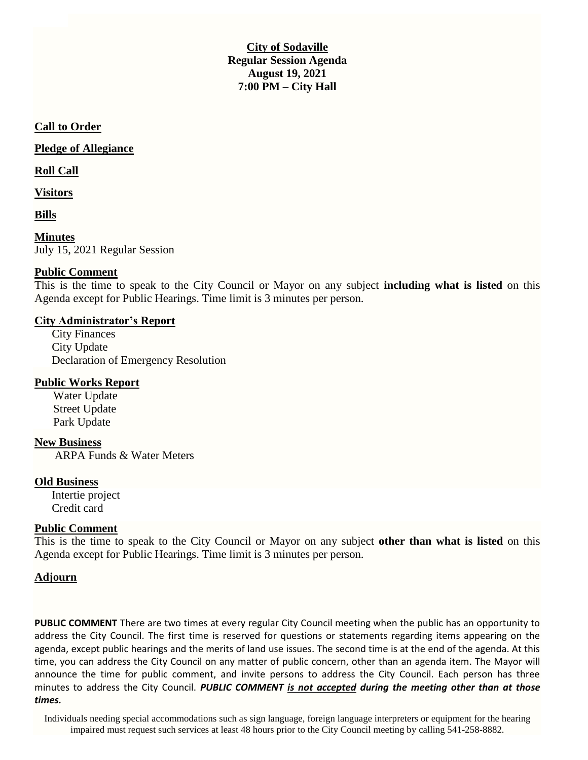**City of Sodaville Regular Session Agenda August 19, 2021 7:00 PM – City Hall**

### **Call to Order**

**Pledge of Allegiance**

#### **Roll Call**

**Visitors**

**Bills**

**Minutes** July 15, 2021 Regular Session

## **Public Comment**

This is the time to speak to the City Council or Mayor on any subject **including what is listed** on this Agenda except for Public Hearings. Time limit is 3 minutes per person.

## **City Administrator's Report**

City Finances City Update Declaration of Emergency Resolution

# **Public Works Report**

Water Update Street Update Park Update

### **New Business**

ARPA Funds & Water Meters

### **Old Business**

Intertie project Credit card

## **Public Comment**

This is the time to speak to the City Council or Mayor on any subject **other than what is listed** on this Agenda except for Public Hearings. Time limit is 3 minutes per person.

# **Adjourn**

**PUBLIC COMMENT** There are two times at every regular City Council meeting when the public has an opportunity to address the City Council. The first time is reserved for questions or statements regarding items appearing on the agenda, except public hearings and the merits of land use issues. The second time is at the end of the agenda. At this time, you can address the City Council on any matter of public concern, other than an agenda item. The Mayor will announce the time for public comment, and invite persons to address the City Council. Each person has three minutes to address the City Council. *PUBLIC COMMENT is not accepted during the meeting other than at those times.*

Individuals needing special accommodations such as sign language, foreign language interpreters or equipment for the hearing impaired must request such services at least 48 hours prior to the City Council meeting by calling 541-258-8882.